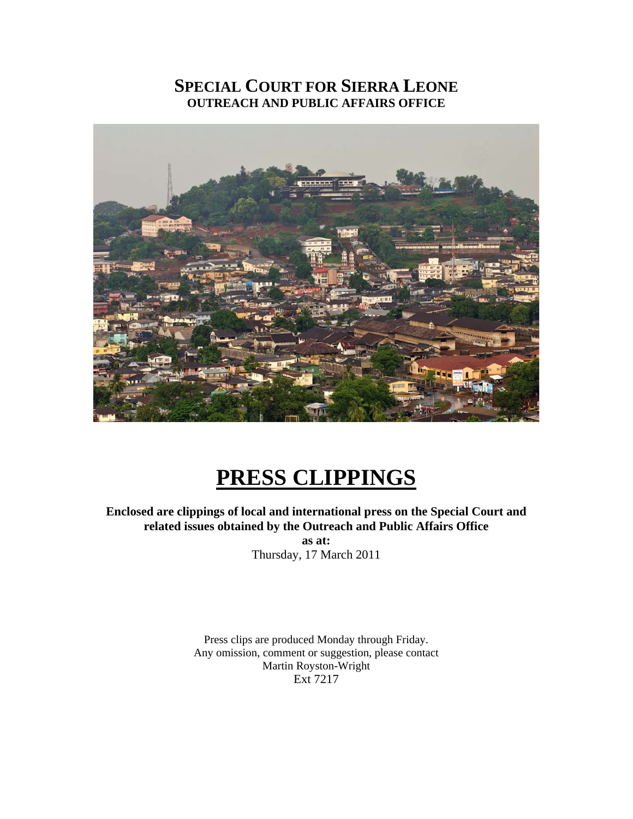## **SPECIAL COURT FOR SIERRA LEONE OUTREACH AND PUBLIC AFFAIRS OFFICE**



# **PRESS CLIPPINGS**

**Enclosed are clippings of local and international press on the Special Court and related issues obtained by the Outreach and Public Affairs Office as at:**  Thursday, 17 March 2011

> Press clips are produced Monday through Friday. Any omission, comment or suggestion, please contact Martin Royston-Wright Ext 7217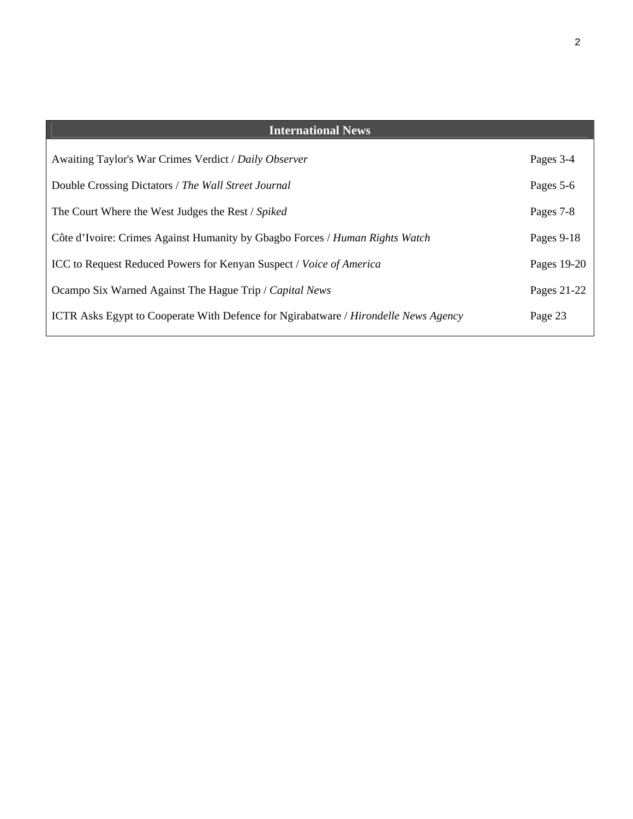| <b>International News</b>                                                                         |             |
|---------------------------------------------------------------------------------------------------|-------------|
| Awaiting Taylor's War Crimes Verdict / Daily Observer                                             | Pages 3-4   |
| Double Crossing Dictators / The Wall Street Journal                                               | Pages 5-6   |
| The Court Where the West Judges the Rest / Spiked                                                 | Pages 7-8   |
| Côte d'Ivoire: Crimes Against Humanity by Gbagbo Forces / Human Rights Watch                      | Pages 9-18  |
| ICC to Request Reduced Powers for Kenyan Suspect / Voice of America                               | Pages 19-20 |
| Ocampo Six Warned Against The Hague Trip / Capital News                                           | Pages 21-22 |
| <b>ICTR</b> Asks Egypt to Cooperate With Defence for Ngirabatware / <i>Hirondelle News Agency</i> | Page 23     |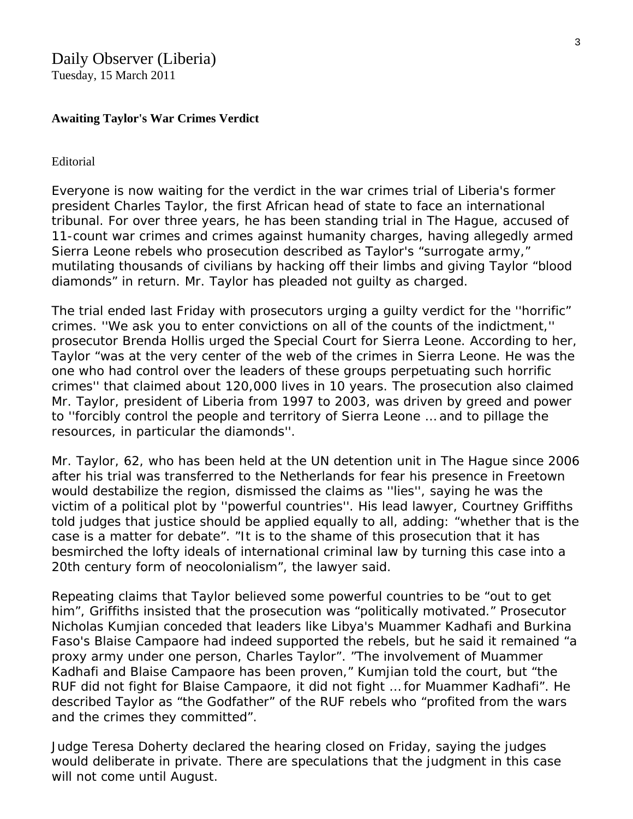## Daily Observer (Liberia)

Tuesday, 15 March 2011

## **Awaiting Taylor's War Crimes Verdict**

#### [Editorial](http://liberianobserver.com/taxonomy/term/35)

Everyone is now waiting for the verdict in the war crimes trial of Liberia's former president Charles Taylor, the first African head of state to face an international tribunal. For over three years, he has been standing trial in The Hague, accused of 11-count war crimes and crimes against humanity charges, having allegedly armed Sierra Leone rebels who prosecution described as Taylor's "surrogate army," mutilating thousands of civilians by hacking off their limbs and giving Taylor "blood diamonds" in return. Mr. Taylor has pleaded not guilty as charged.

The trial ended last Friday with prosecutors urging a guilty verdict for the ''horrific" crimes. ''We ask you to enter convictions on all of the counts of the indictment,'' prosecutor Brenda Hollis urged the Special Court for Sierra Leone. According to her, Taylor "was at the very center of the web of the crimes in Sierra Leone. He was the one who had control over the leaders of these groups perpetuating such horrific crimes'' that claimed about 120,000 lives in 10 years. The prosecution also claimed Mr. Taylor, president of Liberia from 1997 to 2003, was driven by greed and power to ''forcibly control the people and territory of Sierra Leone … and to pillage the resources, in particular the diamonds''.

Mr. Taylor, 62, who has been held at the UN detention unit in The Hague since 2006 after his trial was transferred to the Netherlands for fear his presence in Freetown would destabilize the region, dismissed the claims as ''lies'', saying he was the victim of a political plot by ''powerful countries''. His lead lawyer, Courtney Griffiths told judges that justice should be applied equally to all, adding: "whether that is the case is a matter for debate". "It is to the shame of this prosecution that it has besmirched the lofty ideals of international criminal law by turning this case into a 20th century form of neocolonialism", the lawyer said.

Repeating claims that Taylor believed some powerful countries to be "out to get him", Griffiths insisted that the prosecution was "politically motivated." Prosecutor Nicholas Kumjian conceded that leaders like Libya's Muammer Kadhafi and Burkina Faso's Blaise Campaore had indeed supported the rebels, but he said it remained "a proxy army under one person, Charles Taylor". "The involvement of Muammer Kadhafi and Blaise Campaore has been proven," Kumjian told the court, but "the RUF did not fight for Blaise Campaore, it did not fight … for Muammer Kadhafi". He described Taylor as "the Godfather" of the RUF rebels who "profited from the wars and the crimes they committed".

Judge Teresa Doherty declared the hearing closed on Friday, saying the judges would deliberate in private. There are speculations that the judgment in this case will not come until August.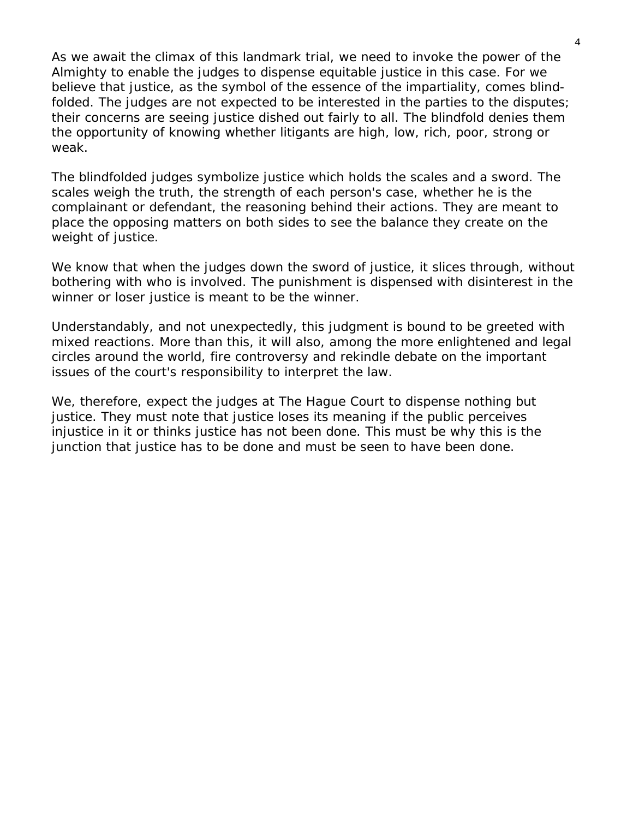As we await the climax of this landmark trial, we need to invoke the power of the Almighty to enable the judges to dispense equitable justice in this case. For we believe that justice, as the symbol of the essence of the impartiality, comes blindfolded. The judges are not expected to be interested in the parties to the disputes; their concerns are seeing justice dished out fairly to all. The blindfold denies them the opportunity of knowing whether litigants are high, low, rich, poor, strong or weak.

The blindfolded judges symbolize justice which holds the scales and a sword. The scales weigh the truth, the strength of each person's case, whether he is the complainant or defendant, the reasoning behind their actions. They are meant to place the opposing matters on both sides to see the balance they create on the weight of justice.

We know that when the judges down the sword of justice, it slices through, without bothering with who is involved. The punishment is dispensed with disinterest in the winner or loser justice is meant to be the winner.

Understandably, and not unexpectedly, this judgment is bound to be greeted with mixed reactions. More than this, it will also, among the more enlightened and legal circles around the world, fire controversy and rekindle debate on the important issues of the court's responsibility to interpret the law.

We, therefore, expect the judges at The Hague Court to dispense nothing but justice. They must note that justice loses its meaning if the public perceives injustice in it or thinks justice has not been done. This must be why this is the junction that justice has to be done and must be seen to have been done.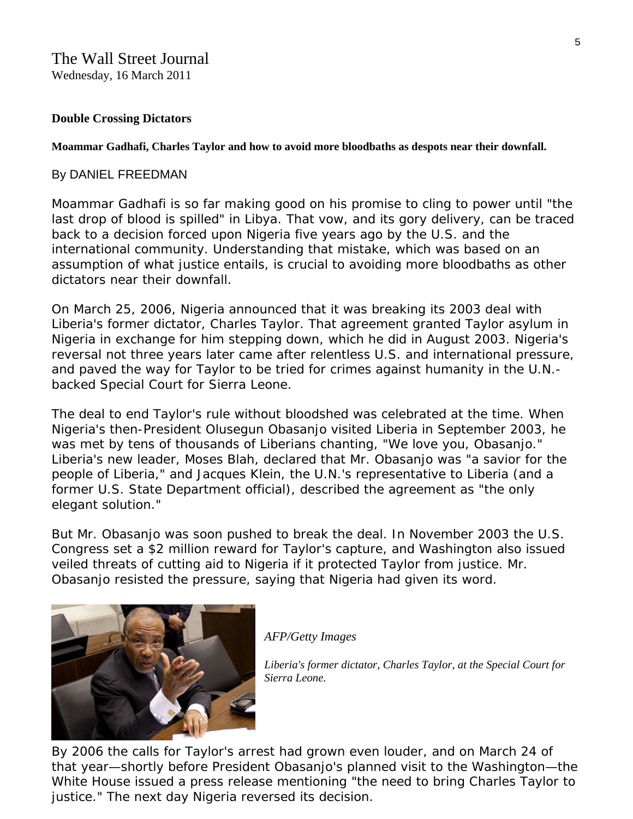## **Double Crossing Dictators**

**Moammar Gadhafi, Charles Taylor and how to avoid more bloodbaths as despots near their downfall.** 

## By [DANIEL FREEDMAN](http://online.wsj.com/search/term.html?KEYWORDS=DANIEL+FREEDMAN&bylinesearch=true)

Moammar Gadhafi is so far making good on his promise to cling to power until "the last drop of blood is spilled" in Libya. That vow, and its gory delivery, can be traced back to a decision forced upon Nigeria five years ago by the U.S. and the international community. Understanding that mistake, which was based on an assumption of what justice entails, is crucial to avoiding more bloodbaths as other dictators near their downfall.

On March 25, 2006, Nigeria announced that it was breaking its 2003 deal with Liberia's former dictator, Charles Taylor. That agreement granted Taylor asylum in Nigeria in exchange for him stepping down, which he did in August 2003. Nigeria's reversal not three years later came after relentless U.S. and international pressure, and paved the way for Taylor to be tried for crimes against humanity in the U.N. backed Special Court for Sierra Leone.

The deal to end Taylor's rule without bloodshed was celebrated at the time. When Nigeria's then-President Olusegun Obasanjo visited Liberia in September 2003, he was met by tens of thousands of Liberians chanting, "We love you, Obasanjo." Liberia's new leader, Moses Blah, declared that Mr. Obasanjo was "a savior for the people of Liberia," and Jacques Klein, the U.N.'s representative to Liberia (and a former U.S. State Department official), described the agreement as "the only elegant solution."

But Mr. Obasanjo was soon pushed to break the deal. In November 2003 the U.S. Congress set a \$2 million reward for Taylor's capture, and Washington also issued veiled threats of cutting aid to Nigeria if it protected Taylor from justice. Mr. Obasanjo resisted the pressure, saying that Nigeria had given its word.



## *AFP/Getty Images*

*Liberia's former dictator, Charles Taylor, at the Special Court for Sierra Leone.* 

By 2006 the calls for Taylor's arrest had grown even louder, and on March 24 of that year—shortly before President Obasanjo's planned visit to the Washington—the White House issued a press release mentioning "the need to bring Charles Taylor to justice." The next day Nigeria reversed its decision.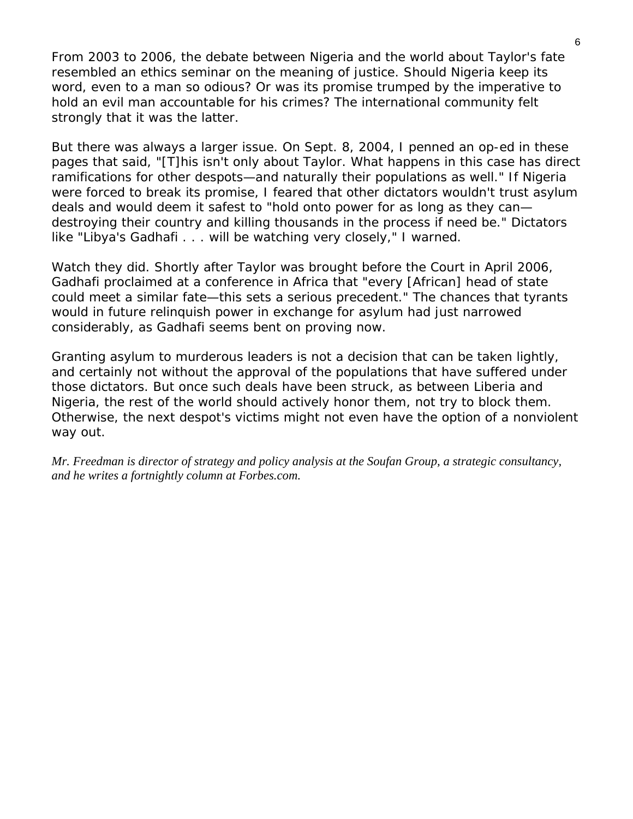From 2003 to 2006, the debate between Nigeria and the world about Taylor's fate resembled an ethics seminar on the meaning of justice. Should Nigeria keep its word, even to a man so odious? Or was its promise trumped by the imperative to hold an evil man accountable for his crimes? The international community felt strongly that it was the latter.

But there was always a larger issue. On Sept. 8, 2004, I penned an op-ed in these pages that said, "[T]his isn't only about Taylor. What happens in this case has direct ramifications for other despots—and naturally their populations as well." If Nigeria were forced to break its promise, I feared that other dictators wouldn't trust asylum deals and would deem it safest to "hold onto power for as long as they can destroying their country and killing thousands in the process if need be." Dictators like "Libya's Gadhafi . . . will be watching very closely," I warned.

Watch they did. Shortly after Taylor was brought before the Court in April 2006, Gadhafi proclaimed at a conference in Africa that "every [African] head of state could meet a similar fate—this sets a serious precedent." The chances that tyrants would in future relinquish power in exchange for asylum had just narrowed considerably, as Gadhafi seems bent on proving now.

Granting asylum to murderous leaders is not a decision that can be taken lightly, and certainly not without the approval of the populations that have suffered under those dictators. But once such deals have been struck, as between Liberia and Nigeria, the rest of the world should actively honor them, not try to block them. Otherwise, the next despot's victims might not even have the option of a nonviolent way out.

*Mr. Freedman is director of strategy and policy analysis at the Soufan Group, a strategic consultancy, and he writes a fortnightly column at Forbes.com.*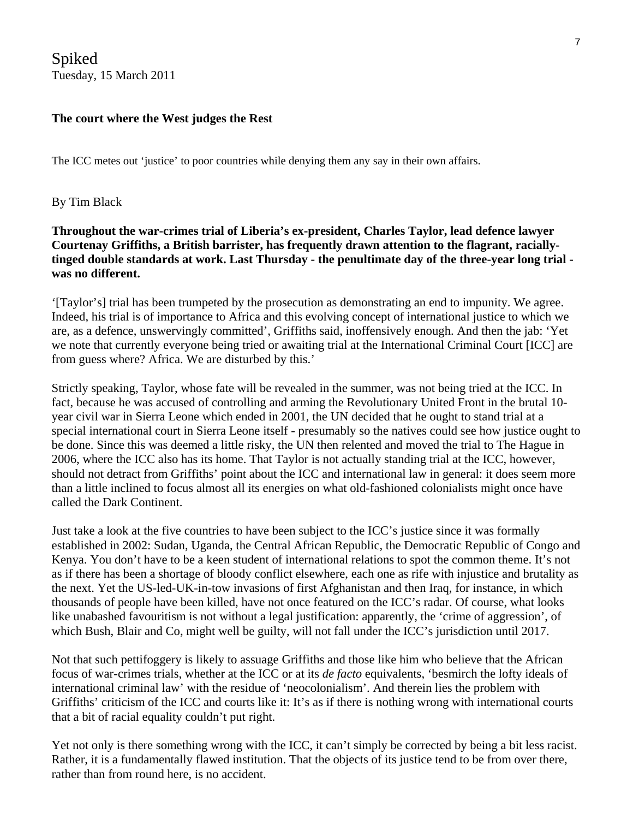Spiked Tuesday, 15 March 2011

## **The court where the West judges the Rest**

The ICC metes out 'justice' to poor countries while denying them any say in their own affairs.

#### By Tim Black

**Throughout the war-crimes trial of Liberia's ex-president, Charles Taylor, lead defence lawyer Courtenay Griffiths, a British barrister, has frequently drawn attention to the flagrant, raciallytinged double standards at work. Last Thursday - the penultimate day of the three-year long trial was no different.**

'[Taylor's] trial has been trumpeted by the prosecution as demonstrating an end to impunity. We agree. Indeed, his trial is of importance to Africa and this evolving concept of international justice to which we are, as a defence, unswervingly committed', Griffiths said, inoffensively enough. And then the jab: 'Yet we note that currently everyone being tried or awaiting trial at the International Criminal Court [ICC] are from guess where? Africa. We are disturbed by this.'

Strictly speaking, Taylor, whose fate will be revealed in the summer, was not being tried at the ICC. In fact, because he was accused of controlling and arming the Revolutionary United Front in the brutal 10 year civil war in Sierra Leone which ended in 2001, the UN decided that he ought to stand trial at a special international court in Sierra Leone itself - presumably so the natives could see how justice ought to be done. Since this was deemed a little risky, the UN then relented and moved the trial to The Hague in 2006, where the ICC also has its home. That Taylor is not actually standing trial at the ICC, however, should not detract from Griffiths' point about the ICC and international law in general: it does seem more than a little inclined to focus almost all its energies on what old-fashioned colonialists might once have called the Dark Continent.

Just take a look at the five countries to have been subject to the ICC's justice since it was formally established in 2002: Sudan, Uganda, the Central African Republic, the Democratic Republic of Congo and Kenya. You don't have to be a keen student of international relations to spot the common theme. It's not as if there has been a shortage of bloody conflict elsewhere, each one as rife with injustice and brutality as the next. Yet the US-led-UK-in-tow invasions of first Afghanistan and then Iraq, for instance, in which thousands of people have been killed, have not once featured on the ICC's radar. Of course, what looks like unabashed favouritism is not without a legal justification: apparently, the 'crime of aggression', of which Bush, Blair and Co, might well be guilty, will not fall under the ICC's jurisdiction until 2017.

Not that such pettifoggery is likely to assuage Griffiths and those like him who believe that the African focus of war-crimes trials, whether at the ICC or at its *de facto* equivalents, 'besmirch the lofty ideals of international criminal law' with the residue of 'neocolonialism'. And therein lies the problem with Griffiths' criticism of the ICC and courts like it: It's as if there is nothing wrong with international courts that a bit of racial equality couldn't put right.

Yet not only is there something wrong with the ICC, it can't simply be corrected by being a bit less racist. Rather, it is a fundamentally flawed institution. That the objects of its justice tend to be from over there, rather than from round here, is no accident.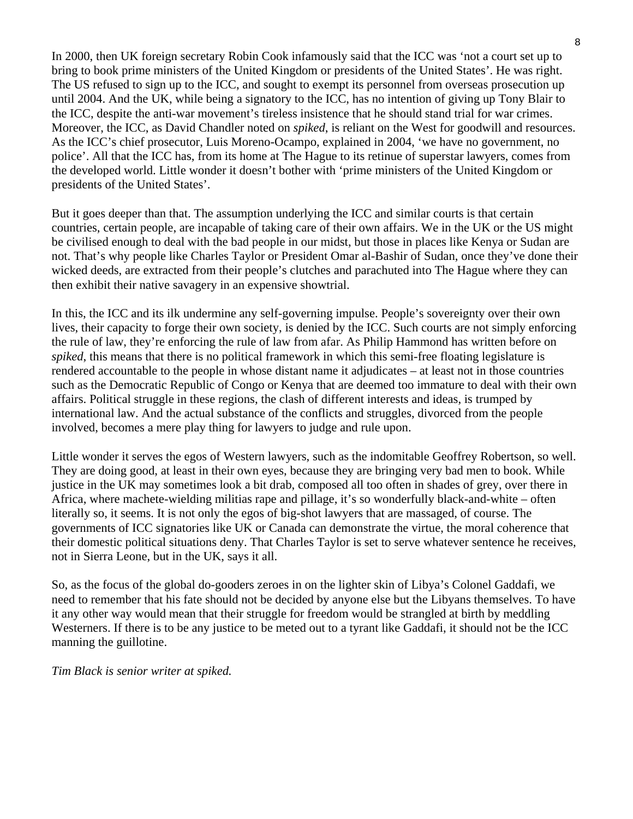In 2000, then UK foreign secretary Robin Cook infamously said that the ICC was 'not a court set up to bring to book prime ministers of the United Kingdom or presidents of the United States'. He was right. The US refused to sign up to the ICC, and sought to exempt its personnel from overseas prosecution up until 2004. And the UK, while being a signatory to the ICC, has no intention of giving up Tony Blair to the ICC, despite the anti-war movement's tireless insistence that he should stand trial for war crimes. Moreover, the ICC, as David Chandler noted on *spiked*, is reliant on the West for goodwill and resources. As the ICC's chief prosecutor, Luis Moreno-Ocampo, explained in 2004, 'we have no government, no police'. All that the ICC has, from its home at The Hague to its retinue of superstar lawyers, comes from the developed world. Little wonder it doesn't bother with 'prime ministers of the United Kingdom or presidents of the United States'.

But it goes deeper than that. The assumption underlying the ICC and similar courts is that certain countries, certain people, are incapable of taking care of their own affairs. We in the UK or the US might be civilised enough to deal with the bad people in our midst, but those in places like Kenya or Sudan are not. That's why people like Charles Taylor or President Omar al-Bashir of Sudan, once they've done their wicked deeds, are extracted from their people's clutches and parachuted into The Hague where they can then exhibit their native savagery in an expensive showtrial.

In this, the ICC and its ilk undermine any self-governing impulse. People's sovereignty over their own lives, their capacity to forge their own society, is denied by the ICC. Such courts are not simply enforcing the rule of law, they're enforcing the rule of law from afar. As Philip Hammond has [written before on](http://www.spiked-online.com/index.php/site/printable/6410/)  *[spiked](http://www.spiked-online.com/index.php/site/printable/6410/)*, this means that there is no political framework in which this semi-free floating legislature is rendered accountable to the people in whose distant name it adjudicates – at least not in those countries such as the Democratic Republic of Congo or Kenya that are deemed too immature to deal with their own affairs. Political struggle in these regions, the clash of different interests and ideas, is trumped by international law. And the actual substance of the conflicts and struggles, divorced from the people involved, becomes a mere play thing for lawyers to judge and rule upon.

Little wonder it serves the egos of Western lawyers, such as the indomitable Geoffrey Robertson, so well. They are doing good, at least in their own eyes, because they are bringing very bad men to book. While justice in the UK may sometimes look a bit drab, composed all too often in shades of grey, over there in Africa, where machete-wielding militias rape and pillage, it's so wonderfully black-and-white – often literally so, it seems. It is not only the egos of big-shot lawyers that are massaged, of course. The governments of ICC signatories like UK or Canada can demonstrate the virtue, the moral coherence that their domestic political situations deny. That Charles Taylor is set to serve whatever sentence he receives, not in Sierra Leone, but in the UK, says it all.

So, as the focus of the global do-gooders zeroes in on the lighter skin of Libya's Colonel Gaddafi, we need to remember that his fate should not be decided by anyone else but the Libyans themselves. To have it any other way would mean that their struggle for freedom would be strangled at birth by meddling Westerners. If there is to be any justice to be meted out to a tyrant like Gaddafi, it should not be the ICC manning the guillotine.

*Tim Black is senior writer at spiked.*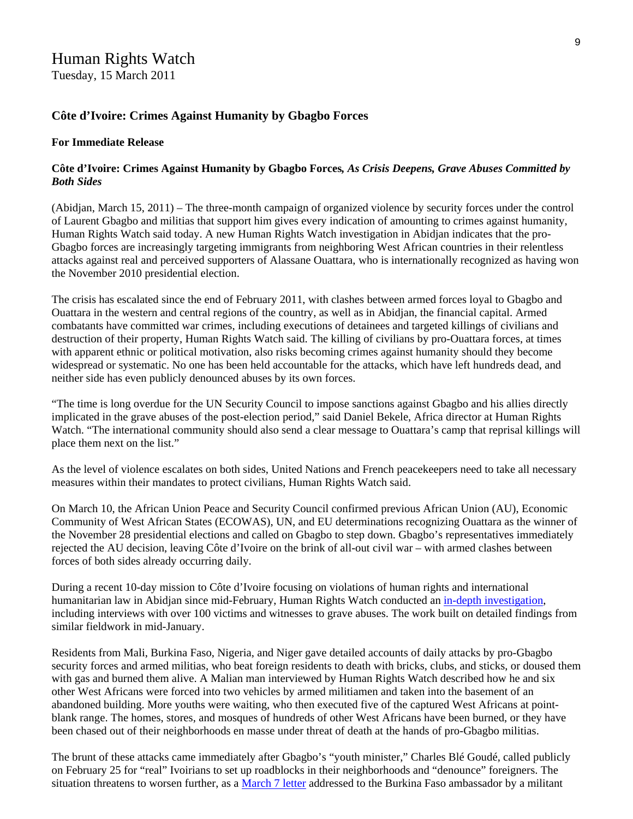## Human Rights Watch

Tuesday, 15 March 2011

## **Côte d'Ivoire: Crimes Against Humanity by Gbagbo Forces**

#### **For Immediate Release**

### **Côte d'Ivoire: Crimes Against Humanity by Gbagbo Forces***, As Crisis Deepens, Grave Abuses Committed by Both Sides*

(Abidjan, March 15, 2011) – The three-month campaign of organized violence by security forces under the control of Laurent Gbagbo and militias that support him gives every indication of amounting to crimes against humanity, Human Rights Watch said today. A new Human Rights Watch investigation in Abidjan indicates that the pro-Gbagbo forces are increasingly targeting immigrants from neighboring West African countries in their relentless attacks against real and perceived supporters of Alassane Ouattara, who is internationally recognized as having won the November 2010 presidential election.

The crisis has escalated since the end of February 2011, with clashes between armed forces loyal to Gbagbo and Ouattara in the western and central regions of the country, as well as in Abidjan, the financial capital. Armed combatants have committed war crimes, including executions of detainees and targeted killings of civilians and destruction of their property, Human Rights Watch said. The killing of civilians by pro-Ouattara forces, at times with apparent ethnic or political motivation, also risks becoming crimes against humanity should they become widespread or systematic. No one has been held accountable for the attacks, which have left hundreds dead, and neither side has even publicly denounced abuses by its own forces.

"The time is long overdue for the UN Security Council to impose sanctions against Gbagbo and his allies directly implicated in the grave abuses of the post-election period," said Daniel Bekele, Africa director at Human Rights Watch. "The international community should also send a clear message to Ouattara's camp that reprisal killings will place them next on the list."

As the level of violence escalates on both sides, United Nations and French peacekeepers need to take all necessary measures within their mandates to protect civilians, Human Rights Watch said.

On March 10, the African Union Peace and Security Council confirmed previous African Union (AU), Economic Community of West African States (ECOWAS), UN, and EU determinations recognizing Ouattara as the winner of the November 28 presidential elections and called on Gbagbo to step down. Gbagbo's representatives immediately rejected the AU decision, leaving Côte d'Ivoire on the brink of all-out civil war – with armed clashes between forces of both sides already occurring daily.

During a recent 10-day mission to Côte d'Ivoire focusing on violations of human rights and international humanitarian law in Abidjan since mid-February, Human Rights Watch conducted an in-depth investigation, including interviews with over 100 victims and witnesses to grave abuses. The work built on detailed findings from similar fieldwork in mid-January.

Residents from Mali, Burkina Faso, Nigeria, and Niger gave detailed accounts of daily attacks by pro-Gbagbo security forces and armed militias, who beat foreign residents to death with bricks, clubs, and sticks, or doused them with gas and burned them alive. A Malian man interviewed by Human Rights Watch described how he and six other West Africans were forced into two vehicles by armed militiamen and taken into the basement of an abandoned building. More youths were waiting, who then executed five of the captured West Africans at pointblank range. The homes, stores, and mosques of hundreds of other West Africans have been burned, or they have been chased out of their neighborhoods en masse under threat of death at the hands of pro-Gbagbo militias.

The brunt of these attacks came immediately after Gbagbo's "youth minister," Charles Blé Goudé, called publicly on February 25 for "real" Ivoirians to set up roadblocks in their neighborhoods and "denounce" foreigners. The situation threatens to worsen further, as a March 7 letter addressed to the Burkina Faso ambassador by a militant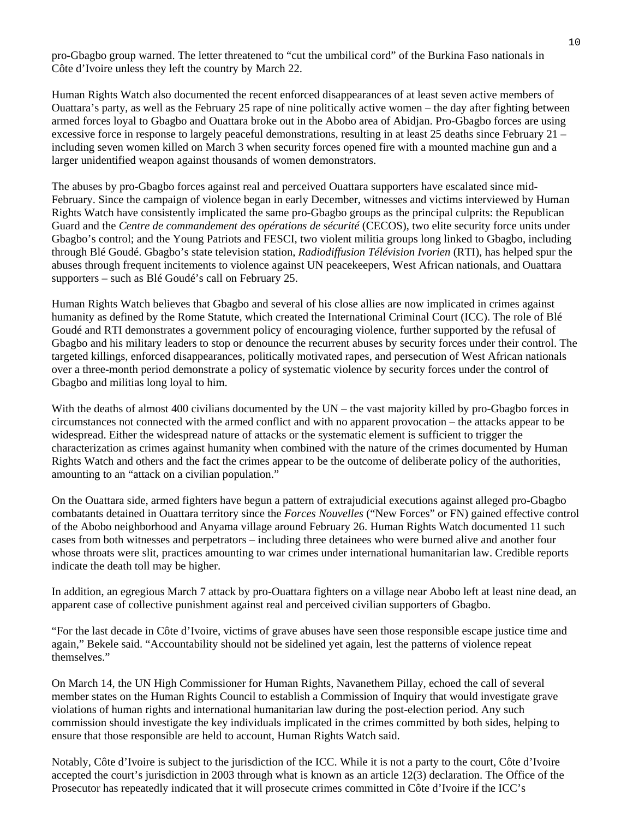pro-Gbagbo group warned. The letter threatened to "cut the umbilical cord" of the Burkina Faso nationals in Côte d'Ivoire unless they left the country by March 22.

Human Rights Watch also documented the recent enforced disappearances of at least seven active members of Ouattara's party, as well as the February 25 rape of nine politically active women – the day after fighting between armed forces loyal to Gbagbo and Ouattara broke out in the Abobo area of Abidjan. Pro-Gbagbo forces are using excessive force in response to largely peaceful demonstrations, resulting in at least 25 deaths since February 21 – including seven women killed on March 3 when security forces opened fire with a mounted machine gun and a larger unidentified weapon against thousands of women demonstrators.

The abuses by pro-Gbagbo forces against real and perceived Ouattara supporters have escalated since mid-February. Since the campaign of violence began in early December, witnesses and victims interviewed by Human Rights Watch have consistently implicated the same pro-Gbagbo groups as the principal culprits: the Republican Guard and the *Centre de commandement des opérations de sécurité* (CECOS), two elite security force units under Gbagbo's control; and the Young Patriots and FESCI, two violent militia groups long linked to Gbagbo, including through Blé Goudé. Gbagbo's state television station, *Radiodiffusion Télévision Ivorien* (RTI), has helped spur the abuses through frequent incitements to violence against UN peacekeepers, West African nationals, and Ouattara supporters – such as Blé Goudé's call on February 25.

Human Rights Watch believes that Gbagbo and several of his close allies are now implicated in crimes against humanity as defined by the Rome Statute, which created the International Criminal Court (ICC). The role of Blé Goudé and RTI demonstrates a government policy of encouraging violence, further supported by the refusal of Gbagbo and his military leaders to stop or denounce the recurrent abuses by security forces under their control. The targeted killings, enforced disappearances, politically motivated rapes, and persecution of West African nationals over a three-month period demonstrate a policy of systematic violence by security forces under the control of Gbagbo and militias long loyal to him.

With the deaths of almost 400 civilians documented by the UN – the vast majority killed by pro-Gbagbo forces in circumstances not connected with the armed conflict and with no apparent provocation – the attacks appear to be widespread. Either the widespread nature of attacks or the systematic element is sufficient to trigger the characterization as crimes against humanity when combined with the nature of the crimes documented by Human Rights Watch and others and the fact the crimes appear to be the outcome of deliberate policy of the authorities, amounting to an "attack on a civilian population."

On the Ouattara side, armed fighters have begun a pattern of extrajudicial executions against alleged pro-Gbagbo combatants detained in Ouattara territory since the *Forces Nouvelles* ("New Forces" or FN) gained effective control of the Abobo neighborhood and Anyama village around February 26. Human Rights Watch documented 11 such cases from both witnesses and perpetrators – including three detainees who were burned alive and another four whose throats were slit, practices amounting to war crimes under international humanitarian law. Credible reports indicate the death toll may be higher.

In addition, an egregious March 7 attack by pro-Ouattara fighters on a village near Abobo left at least nine dead, an apparent case of collective punishment against real and perceived civilian supporters of Gbagbo.

"For the last decade in Côte d'Ivoire, victims of grave abuses have seen those responsible escape justice time and again," Bekele said. "Accountability should not be sidelined yet again, lest the patterns of violence repeat themselves."

On March 14, the UN High Commissioner for Human Rights, Navanethem Pillay, echoed the call of several member states on the Human Rights Council to establish a Commission of Inquiry that would investigate grave violations of human rights and international humanitarian law during the post-election period. Any such commission should investigate the key individuals implicated in the crimes committed by both sides, helping to ensure that those responsible are held to account, Human Rights Watch said.

Notably, Côte d'Ivoire is subject to the jurisdiction of the ICC. While it is not a party to the court, Côte d'Ivoire accepted the court's jurisdiction in 2003 through what is known as an article 12(3) declaration. The Office of the Prosecutor has repeatedly indicated that it will prosecute crimes committed in Côte d'Ivoire if the ICC's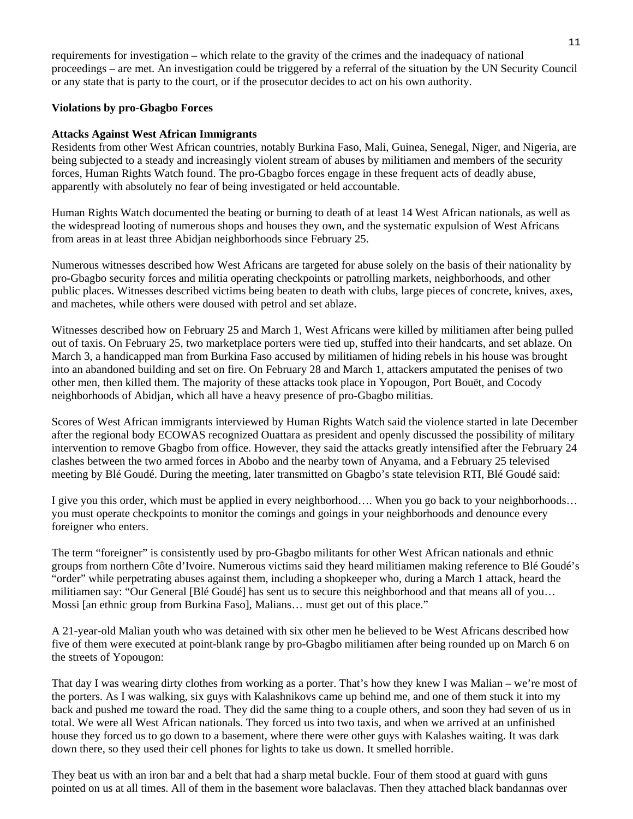requirements for investigation – which relate to the gravity of the crimes and the inadequacy of national proceedings – are met. An investigation could be triggered by a referral of the situation by the UN Security Council or any state that is party to the court, or if the prosecutor decides to act on his own authority.

#### **Violations by pro-Gbagbo Forces**

#### **Attacks Against West African Immigrants**

Residents from other West African countries, notably Burkina Faso, Mali, Guinea, Senegal, Niger, and Nigeria, are being subjected to a steady and increasingly violent stream of abuses by militiamen and members of the security forces, Human Rights Watch found. The pro-Gbagbo forces engage in these frequent acts of deadly abuse, apparently with absolutely no fear of being investigated or held accountable.

Human Rights Watch documented the beating or burning to death of at least 14 West African nationals, as well as the widespread looting of numerous shops and houses they own, and the systematic expulsion of West Africans from areas in at least three Abidjan neighborhoods since February 25.

Numerous witnesses described how West Africans are targeted for abuse solely on the basis of their nationality by pro-Gbagbo security forces and militia operating checkpoints or patrolling markets, neighborhoods, and other public places. Witnesses described victims being beaten to death with clubs, large pieces of concrete, knives, axes, and machetes, while others were doused with petrol and set ablaze.

Witnesses described how on February 25 and March 1, West Africans were killed by militiamen after being pulled out of taxis. On February 25, two marketplace porters were tied up, stuffed into their handcarts, and set ablaze. On March 3, a handicapped man from Burkina Faso accused by militiamen of hiding rebels in his house was brought into an abandoned building and set on fire. On February 28 and March 1, attackers amputated the penises of two other men, then killed them. The majority of these attacks took place in Yopougon, Port Bouët, and Cocody neighborhoods of Abidjan, which all have a heavy presence of pro-Gbagbo militias.

Scores of West African immigrants interviewed by Human Rights Watch said the violence started in late December after the regional body ECOWAS recognized Ouattara as president and openly discussed the possibility of military intervention to remove Gbagbo from office. However, they said the attacks greatly intensified after the February 24 clashes between the two armed forces in Abobo and the nearby town of Anyama, and a February 25 televised meeting by Blé Goudé. During the meeting, later transmitted on Gbagbo's state television RTI, Blé Goudé said:

I give you this order, which must be applied in every neighborhood…. When you go back to your neighborhoods… you must operate checkpoints to monitor the comings and goings in your neighborhoods and denounce every foreigner who enters.

The term "foreigner" is consistently used by pro-Gbagbo militants for other West African nationals and ethnic groups from northern Côte d'Ivoire. Numerous victims said they heard militiamen making reference to Blé Goudé's "order" while perpetrating abuses against them, including a shopkeeper who, during a March 1 attack, heard the militiamen say: "Our General [Blé Goudé] has sent us to secure this neighborhood and that means all of you… Mossi [an ethnic group from Burkina Faso], Malians… must get out of this place."

A 21-year-old Malian youth who was detained with six other men he believed to be West Africans described how five of them were executed at point-blank range by pro-Gbagbo militiamen after being rounded up on March 6 on the streets of Yopougon:

That day I was wearing dirty clothes from working as a porter. That's how they knew I was Malian – we're most of the porters. As I was walking, six guys with Kalashnikovs came up behind me, and one of them stuck it into my back and pushed me toward the road. They did the same thing to a couple others, and soon they had seven of us in total. We were all West African nationals. They forced us into two taxis, and when we arrived at an unfinished house they forced us to go down to a basement, where there were other guys with Kalashes waiting. It was dark down there, so they used their cell phones for lights to take us down. It smelled horrible.

They beat us with an iron bar and a belt that had a sharp metal buckle. Four of them stood at guard with guns pointed on us at all times. All of them in the basement wore balaclavas. Then they attached black bandannas over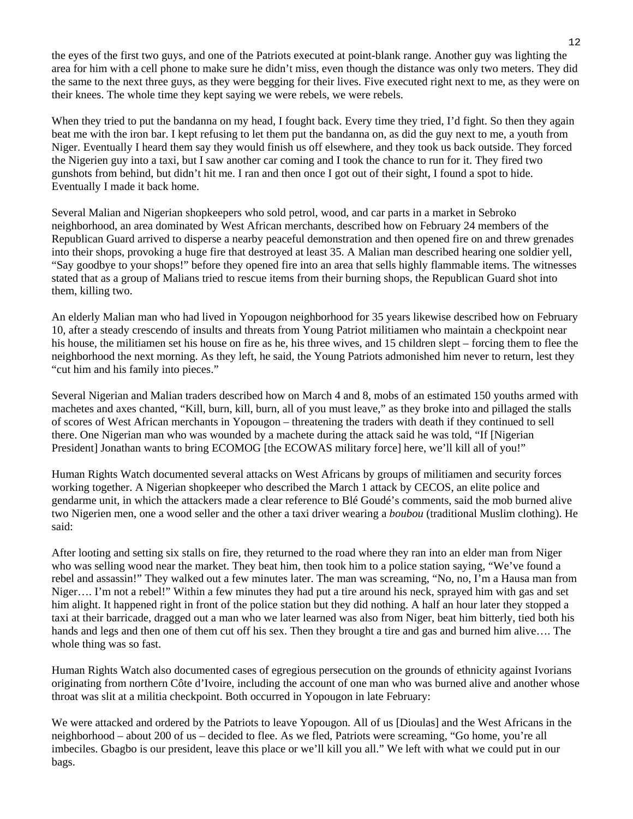the eyes of the first two guys, and one of the Patriots executed at point-blank range. Another guy was lighting the area for him with a cell phone to make sure he didn't miss, even though the distance was only two meters. They did the same to the next three guys, as they were begging for their lives. Five executed right next to me, as they were on their knees. The whole time they kept saying we were rebels, we were rebels.

When they tried to put the bandanna on my head, I fought back. Every time they tried, I'd fight. So then they again beat me with the iron bar. I kept refusing to let them put the bandanna on, as did the guy next to me, a youth from Niger. Eventually I heard them say they would finish us off elsewhere, and they took us back outside. They forced the Nigerien guy into a taxi, but I saw another car coming and I took the chance to run for it. They fired two gunshots from behind, but didn't hit me. I ran and then once I got out of their sight, I found a spot to hide. Eventually I made it back home.

Several Malian and Nigerian shopkeepers who sold petrol, wood, and car parts in a market in Sebroko neighborhood, an area dominated by West African merchants, described how on February 24 members of the Republican Guard arrived to disperse a nearby peaceful demonstration and then opened fire on and threw grenades into their shops, provoking a huge fire that destroyed at least 35. A Malian man described hearing one soldier yell, "Say goodbye to your shops!" before they opened fire into an area that sells highly flammable items. The witnesses stated that as a group of Malians tried to rescue items from their burning shops, the Republican Guard shot into them, killing two.

An elderly Malian man who had lived in Yopougon neighborhood for 35 years likewise described how on February 10, after a steady crescendo of insults and threats from Young Patriot militiamen who maintain a checkpoint near his house, the militiamen set his house on fire as he, his three wives, and 15 children slept – forcing them to flee the neighborhood the next morning. As they left, he said, the Young Patriots admonished him never to return, lest they "cut him and his family into pieces."

Several Nigerian and Malian traders described how on March 4 and 8, mobs of an estimated 150 youths armed with machetes and axes chanted, "Kill, burn, kill, burn, all of you must leave," as they broke into and pillaged the stalls of scores of West African merchants in Yopougon – threatening the traders with death if they continued to sell there. One Nigerian man who was wounded by a machete during the attack said he was told, "If [Nigerian President] Jonathan wants to bring ECOMOG [the ECOWAS military force] here, we'll kill all of you!"

Human Rights Watch documented several attacks on West Africans by groups of militiamen and security forces working together. A Nigerian shopkeeper who described the March 1 attack by CECOS, an elite police and gendarme unit, in which the attackers made a clear reference to Blé Goudé's comments, said the mob burned alive two Nigerien men, one a wood seller and the other a taxi driver wearing a *boubou* (traditional Muslim clothing). He said:

After looting and setting six stalls on fire, they returned to the road where they ran into an elder man from Niger who was selling wood near the market. They beat him, then took him to a police station saying, "We've found a rebel and assassin!" They walked out a few minutes later. The man was screaming, "No, no, I'm a Hausa man from Niger…. I'm not a rebel!" Within a few minutes they had put a tire around his neck, sprayed him with gas and set him alight. It happened right in front of the police station but they did nothing. A half an hour later they stopped a taxi at their barricade, dragged out a man who we later learned was also from Niger, beat him bitterly, tied both his hands and legs and then one of them cut off his sex. Then they brought a tire and gas and burned him alive…. The whole thing was so fast.

Human Rights Watch also documented cases of egregious persecution on the grounds of ethnicity against Ivorians originating from northern Côte d'Ivoire, including the account of one man who was burned alive and another whose throat was slit at a militia checkpoint. Both occurred in Yopougon in late February:

We were attacked and ordered by the Patriots to leave Yopougon. All of us [Dioulas] and the West Africans in the neighborhood – about 200 of us – decided to flee. As we fled, Patriots were screaming, "Go home, you're all imbeciles. Gbagbo is our president, leave this place or we'll kill you all." We left with what we could put in our bags.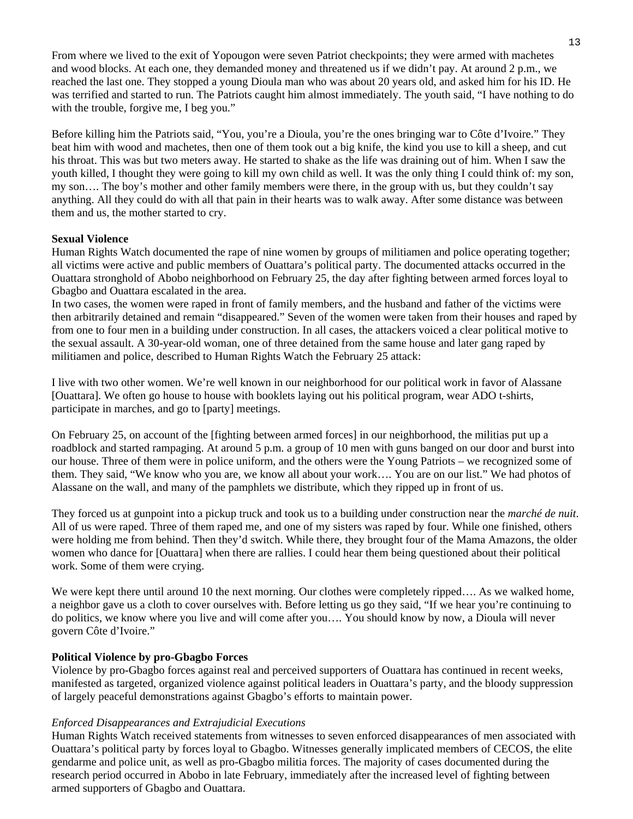From where we lived to the exit of Yopougon were seven Patriot checkpoints; they were armed with machetes and wood blocks. At each one, they demanded money and threatened us if we didn't pay. At around 2 p.m., we reached the last one. They stopped a young Dioula man who was about 20 years old, and asked him for his ID. He was terrified and started to run. The Patriots caught him almost immediately. The youth said, "I have nothing to do with the trouble, forgive me, I beg you."

Before killing him the Patriots said, "You, you're a Dioula, you're the ones bringing war to Côte d'Ivoire." They beat him with wood and machetes, then one of them took out a big knife, the kind you use to kill a sheep, and cut his throat. This was but two meters away. He started to shake as the life was draining out of him. When I saw the youth killed, I thought they were going to kill my own child as well. It was the only thing I could think of: my son, my son…. The boy's mother and other family members were there, in the group with us, but they couldn't say anything. All they could do with all that pain in their hearts was to walk away. After some distance was between them and us, the mother started to cry.

#### **Sexual Violence**

Human Rights Watch documented the rape of nine women by groups of militiamen and police operating together; all victims were active and public members of Ouattara's political party. The documented attacks occurred in the Ouattara stronghold of Abobo neighborhood on February 25, the day after fighting between armed forces loyal to Gbagbo and Ouattara escalated in the area.

In two cases, the women were raped in front of family members, and the husband and father of the victims were then arbitrarily detained and remain "disappeared." Seven of the women were taken from their houses and raped by from one to four men in a building under construction. In all cases, the attackers voiced a clear political motive to the sexual assault. A 30-year-old woman, one of three detained from the same house and later gang raped by militiamen and police, described to Human Rights Watch the February 25 attack:

I live with two other women. We're well known in our neighborhood for our political work in favor of Alassane [Ouattara]. We often go house to house with booklets laying out his political program, wear ADO t-shirts, participate in marches, and go to [party] meetings.

On February 25, on account of the [fighting between armed forces] in our neighborhood, the militias put up a roadblock and started rampaging. At around 5 p.m. a group of 10 men with guns banged on our door and burst into our house. Three of them were in police uniform, and the others were the Young Patriots – we recognized some of them. They said, "We know who you are, we know all about your work…. You are on our list." We had photos of Alassane on the wall, and many of the pamphlets we distribute, which they ripped up in front of us.

They forced us at gunpoint into a pickup truck and took us to a building under construction near the *marché de nuit*. All of us were raped. Three of them raped me, and one of my sisters was raped by four. While one finished, others were holding me from behind. Then they'd switch. While there, they brought four of the Mama Amazons, the older women who dance for [Ouattara] when there are rallies. I could hear them being questioned about their political work. Some of them were crying.

We were kept there until around 10 the next morning. Our clothes were completely ripped.... As we walked home, a neighbor gave us a cloth to cover ourselves with. Before letting us go they said, "If we hear you're continuing to do politics, we know where you live and will come after you…. You should know by now, a Dioula will never govern Côte d'Ivoire."

#### **Political Violence by pro-Gbagbo Forces**

Violence by pro-Gbagbo forces against real and perceived supporters of Ouattara has continued in recent weeks, manifested as targeted, organized violence against political leaders in Ouattara's party, and the bloody suppression of largely peaceful demonstrations against Gbagbo's efforts to maintain power.

#### *Enforced Disappearances and Extrajudicial Executions*

Human Rights Watch received statements from witnesses to seven enforced disappearances of men associated with Ouattara's political party by forces loyal to Gbagbo. Witnesses generally implicated members of CECOS, the elite gendarme and police unit, as well as pro-Gbagbo militia forces. The majority of cases documented during the research period occurred in Abobo in late February, immediately after the increased level of fighting between armed supporters of Gbagbo and Ouattara.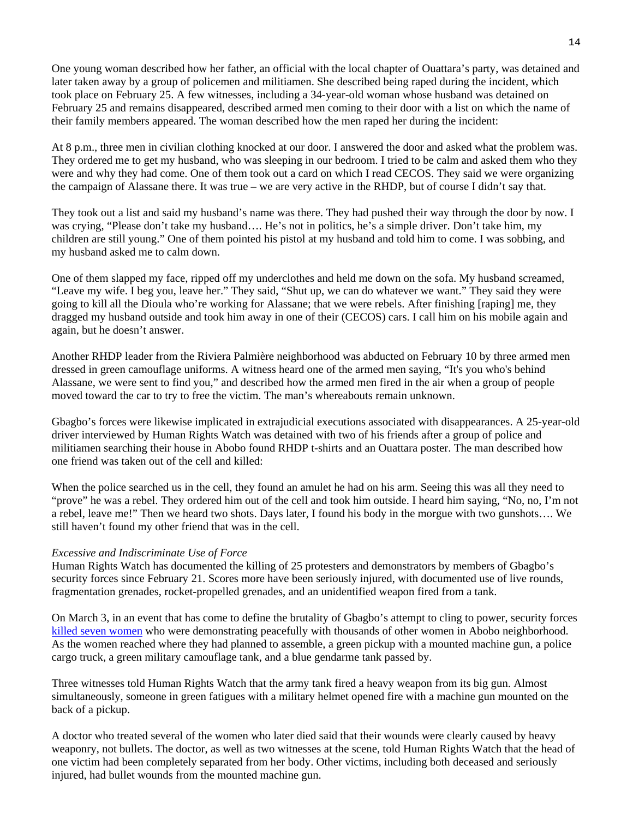One young woman described how her father, an official with the local chapter of Ouattara's party, was detained and later taken away by a group of policemen and militiamen. She described being raped during the incident, which took place on February 25. A few witnesses, including a 34-year-old woman whose husband was detained on February 25 and remains disappeared, described armed men coming to their door with a list on which the name of their family members appeared. The woman described how the men raped her during the incident:

At 8 p.m., three men in civilian clothing knocked at our door. I answered the door and asked what the problem was. They ordered me to get my husband, who was sleeping in our bedroom. I tried to be calm and asked them who they were and why they had come. One of them took out a card on which I read CECOS. They said we were organizing the campaign of Alassane there. It was true – we are very active in the RHDP, but of course I didn't say that.

They took out a list and said my husband's name was there. They had pushed their way through the door by now. I was crying, "Please don't take my husband.... He's not in politics, he's a simple driver. Don't take him, my children are still young." One of them pointed his pistol at my husband and told him to come. I was sobbing, and my husband asked me to calm down.

One of them slapped my face, ripped off my underclothes and held me down on the sofa. My husband screamed, "Leave my wife. I beg you, leave her." They said, "Shut up, we can do whatever we want." They said they were going to kill all the Dioula who're working for Alassane; that we were rebels. After finishing [raping] me, they dragged my husband outside and took him away in one of their (CECOS) cars. I call him on his mobile again and again, but he doesn't answer.

Another RHDP leader from the Riviera Palmière neighborhood was abducted on February 10 by three armed men dressed in green camouflage uniforms. A witness heard one of the armed men saying, "It's you who's behind Alassane, we were sent to find you," and described how the armed men fired in the air when a group of people moved toward the car to try to free the victim. The man's whereabouts remain unknown.

Gbagbo's forces were likewise implicated in extrajudicial executions associated with disappearances. A 25-year-old driver interviewed by Human Rights Watch was detained with two of his friends after a group of police and militiamen searching their house in Abobo found RHDP t-shirts and an Ouattara poster. The man described how one friend was taken out of the cell and killed:

When the police searched us in the cell, they found an amulet he had on his arm. Seeing this was all they need to "prove" he was a rebel. They ordered him out of the cell and took him outside. I heard him saying, "No, no, I'm not a rebel, leave me!" Then we heard two shots. Days later, I found his body in the morgue with two gunshots…. We still haven't found my other friend that was in the cell.

#### *Excessive and Indiscriminate Use of Force*

Human Rights Watch has documented the killing of 25 protesters and demonstrators by members of Gbagbo's security forces since February 21. Scores more have been seriously injured, with documented use of live rounds, fragmentation grenades, rocket-propelled grenades, and an unidentified weapon fired from a tank.

On March 3, in an event that has come to define the brutality of Gbagbo's attempt to cling to power, security forces killed seven women who were demonstrating peacefully with thousands of other women in Abobo neighborhood. As the women reached where they had planned to assemble, a green pickup with a mounted machine gun, a police cargo truck, a green military camouflage tank, and a blue gendarme tank passed by.

Three witnesses told Human Rights Watch that the army tank fired a heavy weapon from its big gun. Almost simultaneously, someone in green fatigues with a military helmet opened fire with a machine gun mounted on the back of a pickup.

A doctor who treated several of the women who later died said that their wounds were clearly caused by heavy weaponry, not bullets. The doctor, as well as two witnesses at the scene, told Human Rights Watch that the head of one victim had been completely separated from her body. Other victims, including both deceased and seriously injured, had bullet wounds from the mounted machine gun.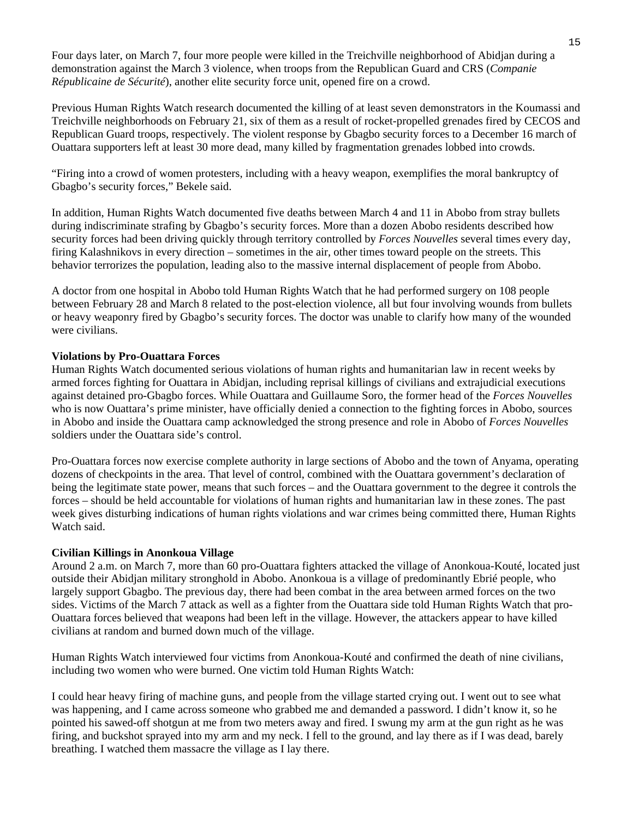Four days later, on March 7, four more people were killed in the Treichville neighborhood of Abidjan during a demonstration against the March 3 violence, when troops from the Republican Guard and CRS (*Companie Républicaine de Sécurité*), another elite security force unit, opened fire on a crowd.

Previous Human Rights Watch research documented the killing of at least seven demonstrators in the Koumassi and Treichville neighborhoods on February 21, six of them as a result of rocket-propelled grenades fired by CECOS and Republican Guard troops, respectively. The violent response by Gbagbo security forces to a December 16 march of Ouattara supporters left at least 30 more dead, many killed by fragmentation grenades lobbed into crowds.

"Firing into a crowd of women protesters, including with a heavy weapon, exemplifies the moral bankruptcy of Gbagbo's security forces," Bekele said.

In addition, Human Rights Watch documented five deaths between March 4 and 11 in Abobo from stray bullets during indiscriminate strafing by Gbagbo's security forces. More than a dozen Abobo residents described how security forces had been driving quickly through territory controlled by *Forces Nouvelles* several times every day, firing Kalashnikovs in every direction – sometimes in the air, other times toward people on the streets. This behavior terrorizes the population, leading also to the massive internal displacement of people from Abobo.

A doctor from one hospital in Abobo told Human Rights Watch that he had performed surgery on 108 people between February 28 and March 8 related to the post-election violence, all but four involving wounds from bullets or heavy weaponry fired by Gbagbo's security forces. The doctor was unable to clarify how many of the wounded were civilians.

#### **Violations by Pro-Ouattara Forces**

Human Rights Watch documented serious violations of human rights and humanitarian law in recent weeks by armed forces fighting for Ouattara in Abidjan, including reprisal killings of civilians and extrajudicial executions against detained pro-Gbagbo forces. While Ouattara and Guillaume Soro, the former head of the *Forces Nouvelles* who is now Ouattara's prime minister, have officially denied a connection to the fighting forces in Abobo, sources in Abobo and inside the Ouattara camp acknowledged the strong presence and role in Abobo of *Forces Nouvelles* soldiers under the Ouattara side's control.

Pro-Ouattara forces now exercise complete authority in large sections of Abobo and the town of Anyama, operating dozens of checkpoints in the area. That level of control, combined with the Ouattara government's declaration of being the legitimate state power, means that such forces – and the Ouattara government to the degree it controls the forces – should be held accountable for violations of human rights and humanitarian law in these zones. The past week gives disturbing indications of human rights violations and war crimes being committed there, Human Rights Watch said.

#### **Civilian Killings in Anonkoua Village**

Around 2 a.m. on March 7, more than 60 pro-Ouattara fighters attacked the village of Anonkoua-Kouté, located just outside their Abidjan military stronghold in Abobo. Anonkoua is a village of predominantly Ebrié people, who largely support Gbagbo. The previous day, there had been combat in the area between armed forces on the two sides. Victims of the March 7 attack as well as a fighter from the Ouattara side told Human Rights Watch that pro-Ouattara forces believed that weapons had been left in the village. However, the attackers appear to have killed civilians at random and burned down much of the village.

Human Rights Watch interviewed four victims from Anonkoua-Kouté and confirmed the death of nine civilians, including two women who were burned. One victim told Human Rights Watch:

I could hear heavy firing of machine guns, and people from the village started crying out. I went out to see what was happening, and I came across someone who grabbed me and demanded a password. I didn't know it, so he pointed his sawed-off shotgun at me from two meters away and fired. I swung my arm at the gun right as he was firing, and buckshot sprayed into my arm and my neck. I fell to the ground, and lay there as if I was dead, barely breathing. I watched them massacre the village as I lay there.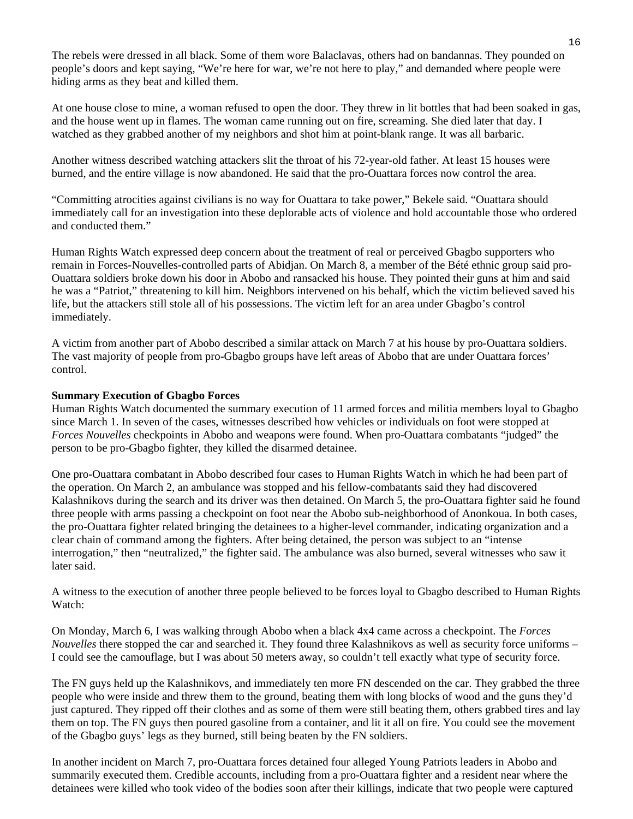The rebels were dressed in all black. Some of them wore Balaclavas, others had on bandannas. They pounded on people's doors and kept saying, "We're here for war, we're not here to play," and demanded where people were hiding arms as they beat and killed them.

At one house close to mine, a woman refused to open the door. They threw in lit bottles that had been soaked in gas, and the house went up in flames. The woman came running out on fire, screaming. She died later that day. I watched as they grabbed another of my neighbors and shot him at point-blank range. It was all barbaric.

Another witness described watching attackers slit the throat of his 72-year-old father. At least 15 houses were burned, and the entire village is now abandoned. He said that the pro-Ouattara forces now control the area.

"Committing atrocities against civilians is no way for Ouattara to take power," Bekele said. "Ouattara should immediately call for an investigation into these deplorable acts of violence and hold accountable those who ordered and conducted them."

Human Rights Watch expressed deep concern about the treatment of real or perceived Gbagbo supporters who remain in Forces-Nouvelles-controlled parts of Abidjan. On March 8, a member of the Bété ethnic group said pro-Ouattara soldiers broke down his door in Abobo and ransacked his house. They pointed their guns at him and said he was a "Patriot," threatening to kill him. Neighbors intervened on his behalf, which the victim believed saved his life, but the attackers still stole all of his possessions. The victim left for an area under Gbagbo's control immediately.

A victim from another part of Abobo described a similar attack on March 7 at his house by pro-Ouattara soldiers. The vast majority of people from pro-Gbagbo groups have left areas of Abobo that are under Ouattara forces' control.

#### **Summary Execution of Gbagbo Forces**

Human Rights Watch documented the summary execution of 11 armed forces and militia members loyal to Gbagbo since March 1. In seven of the cases, witnesses described how vehicles or individuals on foot were stopped at *Forces Nouvelles* checkpoints in Abobo and weapons were found. When pro-Ouattara combatants "judged" the person to be pro-Gbagbo fighter, they killed the disarmed detainee.

One pro-Ouattara combatant in Abobo described four cases to Human Rights Watch in which he had been part of the operation. On March 2, an ambulance was stopped and his fellow-combatants said they had discovered Kalashnikovs during the search and its driver was then detained. On March 5, the pro-Ouattara fighter said he found three people with arms passing a checkpoint on foot near the Abobo sub-neighborhood of Anonkoua. In both cases, the pro-Ouattara fighter related bringing the detainees to a higher-level commander, indicating organization and a clear chain of command among the fighters. After being detained, the person was subject to an "intense interrogation," then "neutralized," the fighter said. The ambulance was also burned, several witnesses who saw it later said.

A witness to the execution of another three people believed to be forces loyal to Gbagbo described to Human Rights Watch:

On Monday, March 6, I was walking through Abobo when a black 4x4 came across a checkpoint. The *Forces Nouvelles* there stopped the car and searched it. They found three Kalashnikovs as well as security force uniforms – I could see the camouflage, but I was about 50 meters away, so couldn't tell exactly what type of security force.

The FN guys held up the Kalashnikovs, and immediately ten more FN descended on the car. They grabbed the three people who were inside and threw them to the ground, beating them with long blocks of wood and the guns they'd just captured. They ripped off their clothes and as some of them were still beating them, others grabbed tires and lay them on top. The FN guys then poured gasoline from a container, and lit it all on fire. You could see the movement of the Gbagbo guys' legs as they burned, still being beaten by the FN soldiers.

In another incident on March 7, pro-Ouattara forces detained four alleged Young Patriots leaders in Abobo and summarily executed them. Credible accounts, including from a pro-Ouattara fighter and a resident near where the detainees were killed who took video of the bodies soon after their killings, indicate that two people were captured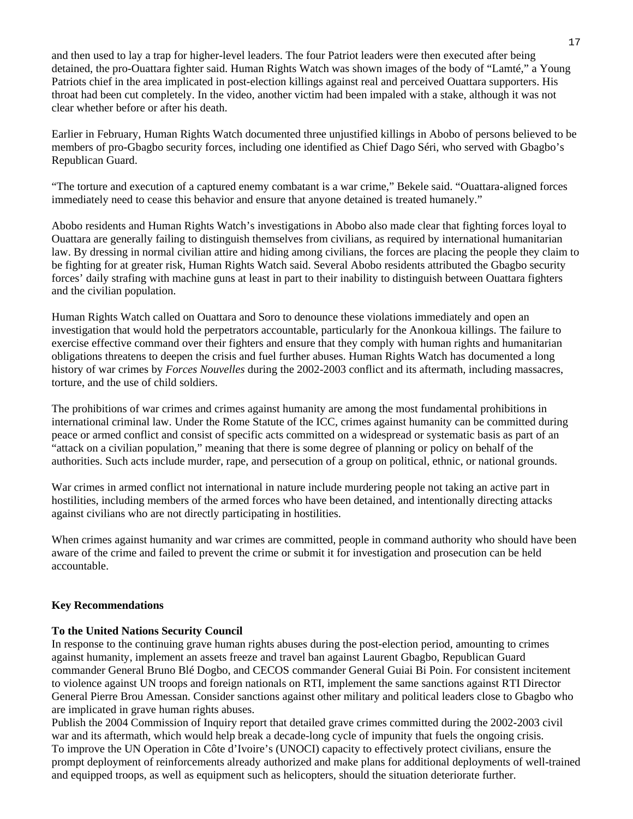and then used to lay a trap for higher-level leaders. The four Patriot leaders were then executed after being detained, the pro-Ouattara fighter said. Human Rights Watch was shown images of the body of "Lamté," a Young Patriots chief in the area implicated in post-election killings against real and perceived Ouattara supporters. His throat had been cut completely. In the video, another victim had been impaled with a stake, although it was not clear whether before or after his death.

Earlier in February, Human Rights Watch documented three unjustified killings in Abobo of persons believed to be members of pro-Gbagbo security forces, including one identified as Chief Dago Séri, who served with Gbagbo's Republican Guard.

"The torture and execution of a captured enemy combatant is a war crime," Bekele said. "Ouattara-aligned forces immediately need to cease this behavior and ensure that anyone detained is treated humanely."

Abobo residents and Human Rights Watch's investigations in Abobo also made clear that fighting forces loyal to Ouattara are generally failing to distinguish themselves from civilians, as required by international humanitarian law. By dressing in normal civilian attire and hiding among civilians, the forces are placing the people they claim to be fighting for at greater risk, Human Rights Watch said. Several Abobo residents attributed the Gbagbo security forces' daily strafing with machine guns at least in part to their inability to distinguish between Ouattara fighters and the civilian population.

Human Rights Watch called on Ouattara and Soro to denounce these violations immediately and open an investigation that would hold the perpetrators accountable, particularly for the Anonkoua killings. The failure to exercise effective command over their fighters and ensure that they comply with human rights and humanitarian obligations threatens to deepen the crisis and fuel further abuses. Human Rights Watch has documented a long history of war crimes by *Forces Nouvelles* during the 2002-2003 conflict and its aftermath, including massacres, torture, and the use of child soldiers.

The prohibitions of war crimes and crimes against humanity are among the most fundamental prohibitions in international criminal law. Under the Rome Statute of the ICC, crimes against humanity can be committed during peace or armed conflict and consist of specific acts committed on a widespread or systematic basis as part of an "attack on a civilian population," meaning that there is some degree of planning or policy on behalf of the authorities. Such acts include murder, rape, and persecution of a group on political, ethnic, or national grounds.

War crimes in armed conflict not international in nature include murdering people not taking an active part in hostilities, including members of the armed forces who have been detained, and intentionally directing attacks against civilians who are not directly participating in hostilities.

When crimes against humanity and war crimes are committed, people in command authority who should have been aware of the crime and failed to prevent the crime or submit it for investigation and prosecution can be held accountable.

#### **Key Recommendations**

#### **To the United Nations Security Council**

In response to the continuing grave human rights abuses during the post-election period, amounting to crimes against humanity, implement an assets freeze and travel ban against Laurent Gbagbo, Republican Guard commander General Bruno Blé Dogbo, and CECOS commander General Guiai Bi Poin. For consistent incitement to violence against UN troops and foreign nationals on RTI, implement the same sanctions against RTI Director General Pierre Brou Amessan. Consider sanctions against other military and political leaders close to Gbagbo who are implicated in grave human rights abuses.

Publish the 2004 Commission of Inquiry report that detailed grave crimes committed during the 2002-2003 civil war and its aftermath, which would help break a decade-long cycle of impunity that fuels the ongoing crisis. To improve the UN Operation in Côte d'Ivoire's (UNOCI) capacity to effectively protect civilians, ensure the prompt deployment of reinforcements already authorized and make plans for additional deployments of well-trained and equipped troops, as well as equipment such as helicopters, should the situation deteriorate further.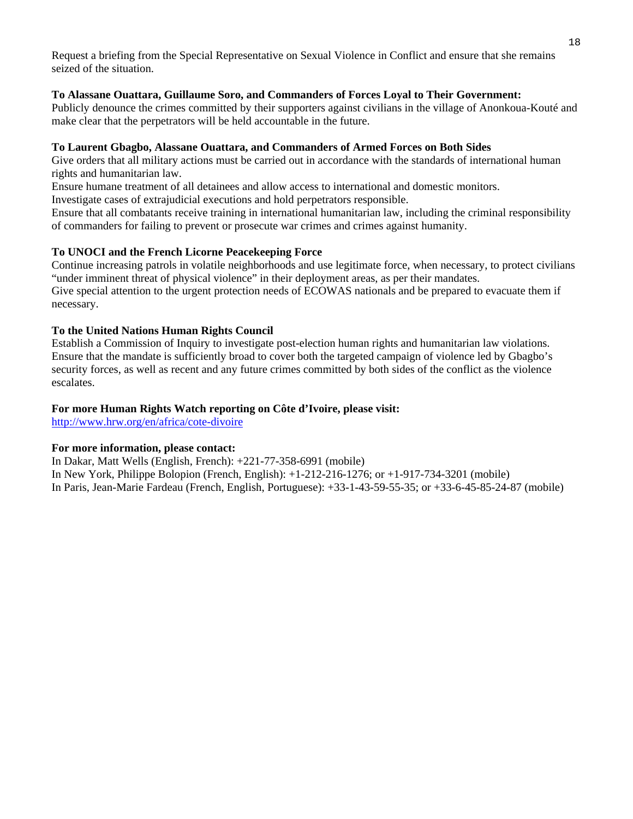Request a briefing from the Special Representative on Sexual Violence in Conflict and ensure that she remains seized of the situation.

#### **To Alassane Ouattara, Guillaume Soro, and Commanders of Forces Loyal to Their Government:**

Publicly denounce the crimes committed by their supporters against civilians in the village of Anonkoua-Kouté and make clear that the perpetrators will be held accountable in the future.

#### **To Laurent Gbagbo, Alassane Ouattara, and Commanders of Armed Forces on Both Sides**

Give orders that all military actions must be carried out in accordance with the standards of international human rights and humanitarian law.

Ensure humane treatment of all detainees and allow access to international and domestic monitors.

Investigate cases of extrajudicial executions and hold perpetrators responsible.

Ensure that all combatants receive training in international humanitarian law, including the criminal responsibility of commanders for failing to prevent or prosecute war crimes and crimes against humanity.

#### **To UNOCI and the French Licorne Peacekeeping Force**

Continue increasing patrols in volatile neighborhoods and use legitimate force, when necessary, to protect civilians "under imminent threat of physical violence" in their deployment areas, as per their mandates. Give special attention to the urgent protection needs of ECOWAS nationals and be prepared to evacuate them if necessary.

#### **To the United Nations Human Rights Council**

Establish a Commission of Inquiry to investigate post-election human rights and humanitarian law violations. Ensure that the mandate is sufficiently broad to cover both the targeted campaign of violence led by Gbagbo's security forces, as well as recent and any future crimes committed by both sides of the conflict as the violence escalates.

#### **For more Human Rights Watch reporting on Côte d'Ivoire, please visit:**

http://www.hrw.org/en/africa/cote-divoire

#### **For more information, please contact:**

In Dakar, Matt Wells (English, French): +221-77-358-6991 (mobile) In New York, Philippe Bolopion (French, English): +1-212-216-1276; or +1-917-734-3201 (mobile) In Paris, Jean-Marie Fardeau (French, English, Portuguese): +33-1-43-59-55-35; or +33-6-45-85-24-87 (mobile)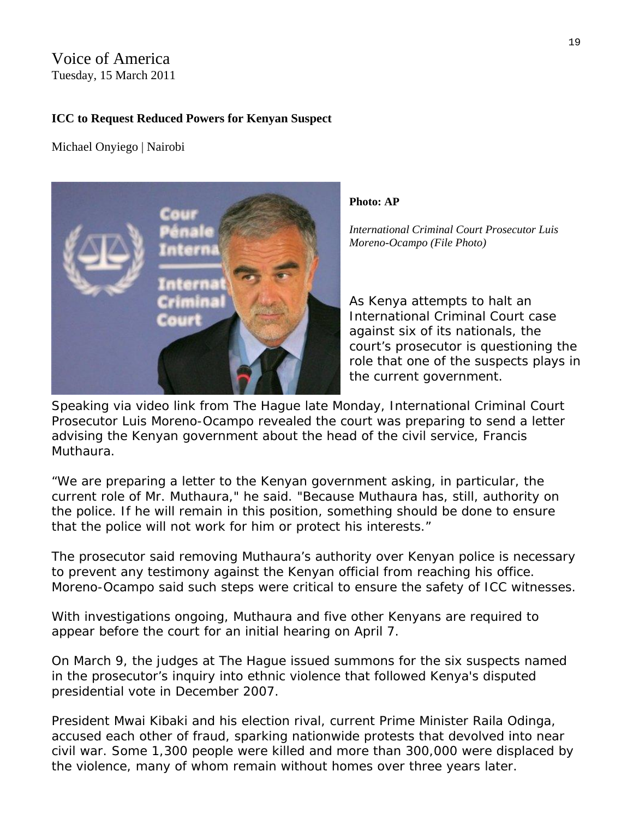## Voice of America Tuesday, 15 March 2011

## **ICC to Request Reduced Powers for Kenyan Suspect**

Michael Onyiego | Nairobi



**Photo: AP** 

*International Criminal Court Prosecutor Luis Moreno-Ocampo (File Photo)* 

role that one of the suspects plays in As Kenya attempts to halt an International Criminal Court case against six of its nationals, the court's prosecutor is questioning the the current government.

Speaking via video link from The Hague late Monday, International Criminal Court Prosecutor Luis Moreno-Ocampo revealed the court was preparing to send a letter advising the Kenyan government about the head of the civil service, Francis Muthaura.

"We are preparing a letter to the Kenyan government asking, in particular, the current role of Mr. Muthaura," he said. "Because Muthaura has, still, authority on the police. If he will remain in this position, something should be done to ensure that the police will not work for him or protect his interests."

The prosecutor said removing Muthaura's authority over Kenyan police is necessary to prevent any testimony against the Kenyan official from reaching his office. Moreno-Ocampo said such steps were critical to ensure the safety of ICC witnesses.

With investigations ongoing, Muthaura and five other Kenyans are required to appear before the court for an initial hearing on April 7.

On March 9, the judges at The Hague issued summons for the six suspects named in the prosecutor's inquiry into ethnic violence that followed Kenya's disputed presidential vote in December 2007.

President Mwai Kibaki and his election rival, current Prime Minister Raila Odinga, accused each other of fraud, sparking nationwide protests that devolved into near civil war. Some 1,300 people were killed and more than 300,000 were displaced by the violence, many of whom remain without homes over three years later.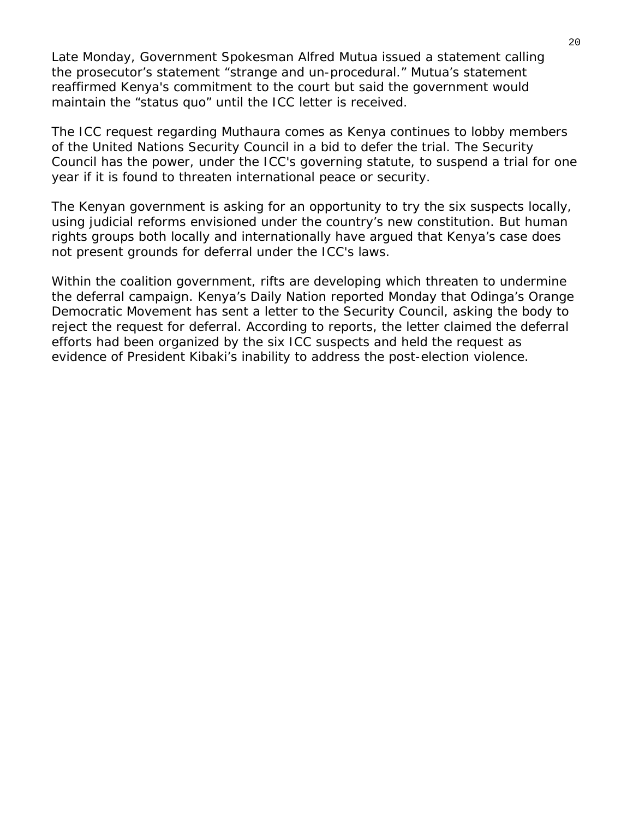Late Monday, Government Spokesman Alfred Mutua issued a statement calling the prosecutor's statement "strange and un-procedural." Mutua's statement reaffirmed Kenya's commitment to the court but said the government would maintain the "status quo" until the ICC letter is received.

The ICC request regarding Muthaura comes as Kenya continues to lobby members of the United Nations Security Council in a bid to defer the trial. The Security Council has the power, under the ICC's governing statute, to suspend a trial for one year if it is found to threaten international peace or security.

The Kenyan government is asking for an opportunity to try the six suspects locally, using judicial reforms envisioned under the country's new constitution. But human rights groups both locally and internationally have argued that Kenya's case does not present grounds for deferral under the ICC's laws.

Within the coalition government, rifts are developing which threaten to undermine the deferral campaign. Kenya's *Daily Nation* reported Monday that Odinga's Orange Democratic Movement has sent a letter to the Security Council, asking the body to reject the request for deferral. According to reports, the letter claimed the deferral efforts had been organized by the six ICC suspects and held the request as evidence of President Kibaki's inability to address the post-election violence.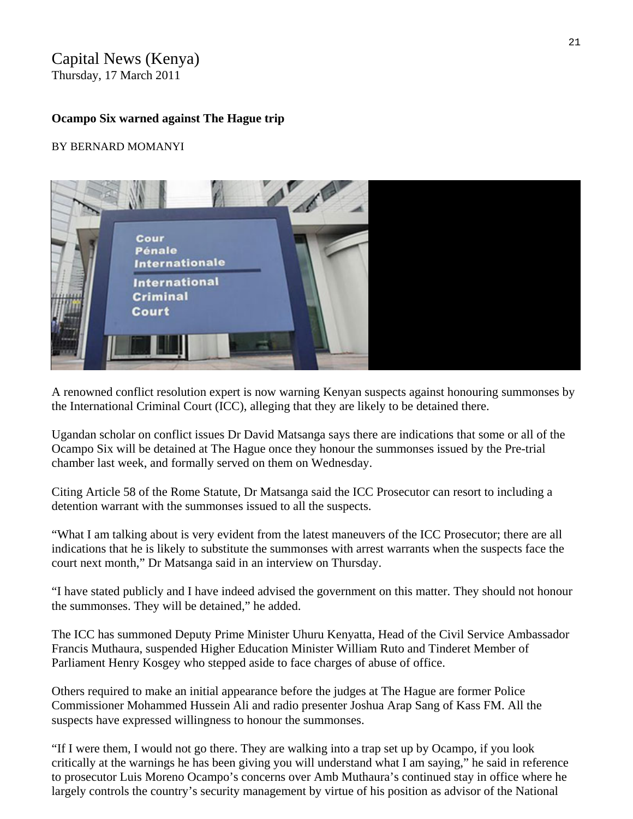## Capital News (Kenya)

Thursday, 17 March 2011

## **Ocampo Six warned against The Hague trip**

## BY BERNARD MOMANYI



A renowned conflict resolution expert is now warning Kenyan suspects against honouring summonses by the International Criminal Court (ICC), alleging that they are likely to be detained there.

Ugandan scholar on conflict issues Dr David Matsanga says there are indications that some or all of the Ocampo Six will be detained at The Hague once they honour the summonses issued by the Pre-trial chamber last week, and formally served on them on Wednesday.

Citing Article 58 of the Rome Statute, Dr Matsanga said the ICC Prosecutor can resort to including a detention warrant with the summonses issued to all the suspects.

"What I am talking about is very evident from the latest maneuvers of the ICC Prosecutor; there are all indications that he is likely to substitute the summonses with arrest warrants when the suspects face the court next month," Dr Matsanga said in an interview on Thursday.

"I have stated publicly and I have indeed advised the government on this matter. They should not honour the summonses. They will be detained," he added.

The ICC has summoned Deputy Prime Minister Uhuru Kenyatta, Head of the Civil Service Ambassador Francis Muthaura, suspended Higher Education Minister William Ruto and Tinderet Member of Parliament Henry Kosgey who stepped aside to face charges of abuse of office.

Others required to make an initial appearance before the judges at The Hague are former Police Commissioner Mohammed Hussein Ali and radio presenter Joshua Arap Sang of Kass FM. All the suspects have expressed willingness to honour the summonses.

"If I were them, I would not go there. They are walking into a trap set up by Ocampo, if you look critically at the warnings he has been giving you will understand what I am saying," he said in reference to prosecutor Luis Moreno Ocampo's concerns over Amb Muthaura's continued stay in office where he largely controls the country's security management by virtue of his position as advisor of the National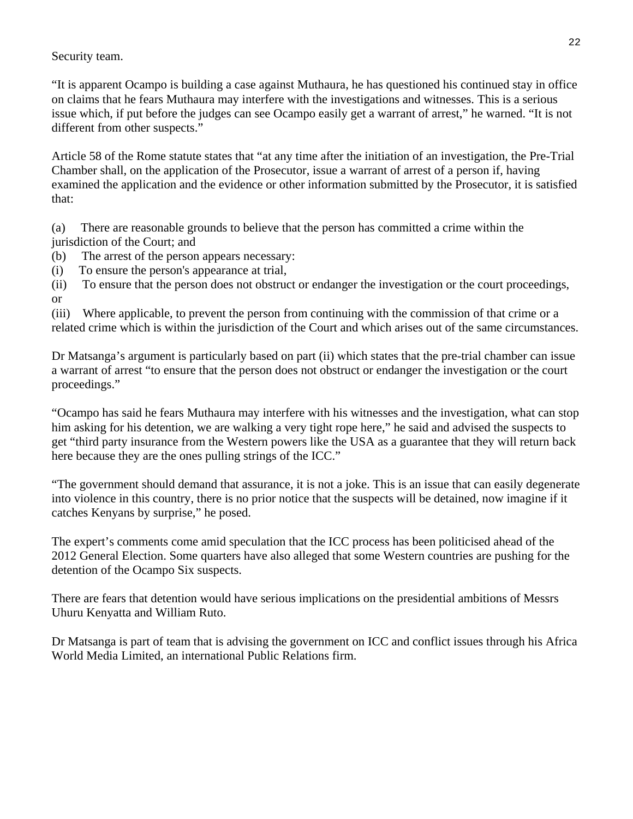Security team.

"It is apparent Ocampo is building a case against Muthaura, he has questioned his continued stay in office on claims that he fears Muthaura may interfere with the investigations and witnesses. This is a serious issue which, if put before the judges can see Ocampo easily get a warrant of arrest," he warned. "It is not different from other suspects."

Article 58 of the Rome statute states that "at any time after the initiation of an investigation, the Pre-Trial Chamber shall, on the application of the Prosecutor, issue a warrant of arrest of a person if, having examined the application and the evidence or other information submitted by the Prosecutor, it is satisfied that:

(a) There are reasonable grounds to believe that the person has committed a crime within the jurisdiction of the Court; and

- (b) The arrest of the person appears necessary:
- (i) To ensure the person's appearance at trial,

(ii) To ensure that the person does not obstruct or endanger the investigation or the court proceedings, or

(iii) Where applicable, to prevent the person from continuing with the commission of that crime or a related crime which is within the jurisdiction of the Court and which arises out of the same circumstances.

Dr Matsanga's argument is particularly based on part (ii) which states that the pre-trial chamber can issue a warrant of arrest "to ensure that the person does not obstruct or endanger the investigation or the court proceedings."

"Ocampo has said he fears Muthaura may interfere with his witnesses and the investigation, what can stop him asking for his detention, we are walking a very tight rope here," he said and advised the suspects to get "third party insurance from the Western powers like the USA as a guarantee that they will return back here because they are the ones pulling strings of the ICC."

"The government should demand that assurance, it is not a joke. This is an issue that can easily degenerate into violence in this country, there is no prior notice that the suspects will be detained, now imagine if it catches Kenyans by surprise," he posed.

The expert's comments come amid speculation that the ICC process has been politicised ahead of the 2012 General Election. Some quarters have also alleged that some Western countries are pushing for the detention of the Ocampo Six suspects.

There are fears that detention would have serious implications on the presidential ambitions of Messrs Uhuru Kenyatta and William Ruto.

Dr Matsanga is part of team that is advising the government on ICC and conflict issues through his Africa World Media Limited, an international Public Relations firm.